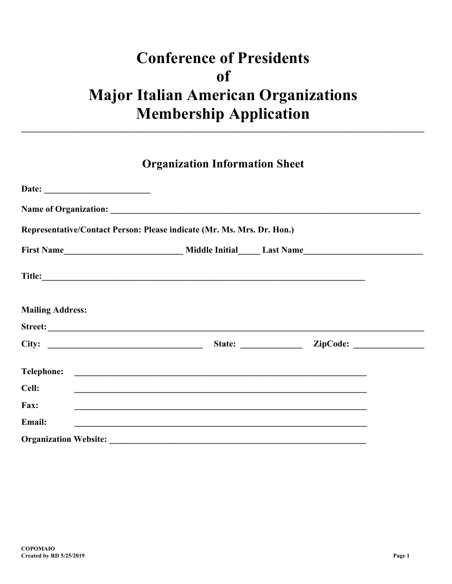## **Conference of Presidents**  $of$ **Major Italian American Organizations Membership Application**

## **Organization Information Sheet**

|                         | Representative/Contact Person: Please indicate (Mr. Ms. Mrs. Dr. Hon.)                                                                                                                                                               |                        |  |
|-------------------------|--------------------------------------------------------------------------------------------------------------------------------------------------------------------------------------------------------------------------------------|------------------------|--|
|                         |                                                                                                                                                                                                                                      |                        |  |
|                         |                                                                                                                                                                                                                                      |                        |  |
| <b>Mailing Address:</b> |                                                                                                                                                                                                                                      |                        |  |
|                         |                                                                                                                                                                                                                                      |                        |  |
|                         |                                                                                                                                                                                                                                      | State: <u>ZipCode:</u> |  |
|                         |                                                                                                                                                                                                                                      |                        |  |
| Cell:                   | <u> 1989 - Johann Stoff, deutscher Stoffen und der Stoffen und der Stoffen und der Stoffen und der Stoffen und der Stoffen und der Stoffen und der Stoffen und der Stoffen und der Stoffen und der Stoffen und der Stoffen und d</u> |                        |  |
| Fax:                    |                                                                                                                                                                                                                                      |                        |  |
| Email:                  | <u> 1989 - Johann Stoff, Amerikaansk politiker (* 1989)</u>                                                                                                                                                                          |                        |  |
|                         |                                                                                                                                                                                                                                      |                        |  |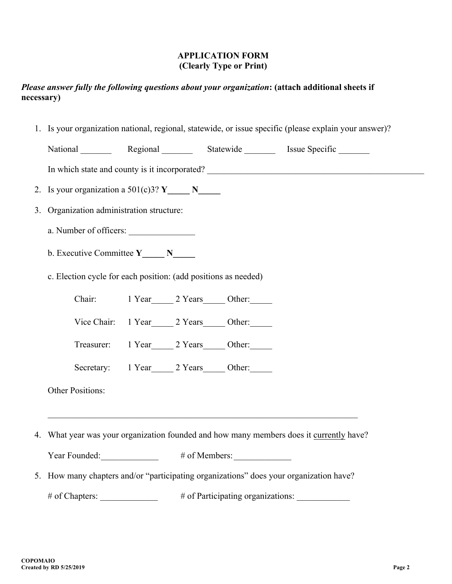## **APPLICATION FORM (Clearly Type or Print)**

## *Please answer fully the following questions about your organization***: (attach additional sheets if necessary)**

1. Is your organization national, regional, statewide, or issue specific (please explain your answer)?

| National | Regional | Statewide | Issue Specific |
|----------|----------|-----------|----------------|
|          |          |           |                |

In which state and county is it incorporated? \_\_\_\_\_\_\_\_\_\_\_\_\_\_\_\_\_\_\_\_\_\_\_\_\_\_\_\_\_\_\_\_\_\_\_

- 2. Is your organization a  $501(c)3?$  **Y**
- 3. Organization administration structure:
	- a. Number of officers:
	- b. Executive Committee **Y\_\_\_\_\_ N\_\_\_\_\_**
	- c. Election cycle for each position: (add positions as needed)

Chair: 1 Year 2 Years Other:

- Vice Chair: 1 Year 2 Years Other:
- Treasurer: 1 Year 2 Years Other:
- Secretary: 1 Year 2 Years Other:

Other Positions:

4. What year was your organization founded and how many members does it currently have?

| Year Founded: | $#$ of Members: |
|---------------|-----------------|
|---------------|-----------------|

5. How many chapters and/or "participating organizations" does your organization have?

# of Chapters:  $\qquad$  # of Participating organizations: